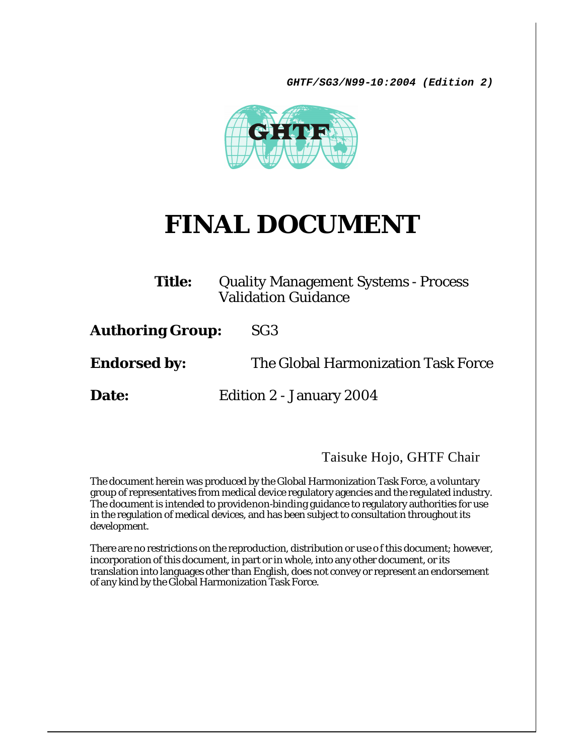*GHTF/SG3/N99-10:2004 (Edition 2)*



# **FINAL DOCUMENT**

**Title:** Quality Management Systems - Process Validation Guidance

**Authoring Group:** SG3

**Endorsed by:** The Global Harmonization Task Force

**Date:** Edition 2 - January 2004

Taisuke Hojo, GHTF Chair

The document herein was produced by the Global Harmonization Task Force, a voluntary group of representatives from medical device regulatory agencies and the regulated industry. The document is intended to provide *non-binding* guidance to regulatory authorities for use in the regulation of medical devices, and has been subject to consultation throughout its development.

There are no restrictions on the reproduction, distribution or use o f this document; however, incorporation of this document, in part or in whole, into any other document, or its translation into languages other than English, does not convey or represent an endorsement of any kind by the Global Harmonization Task Force.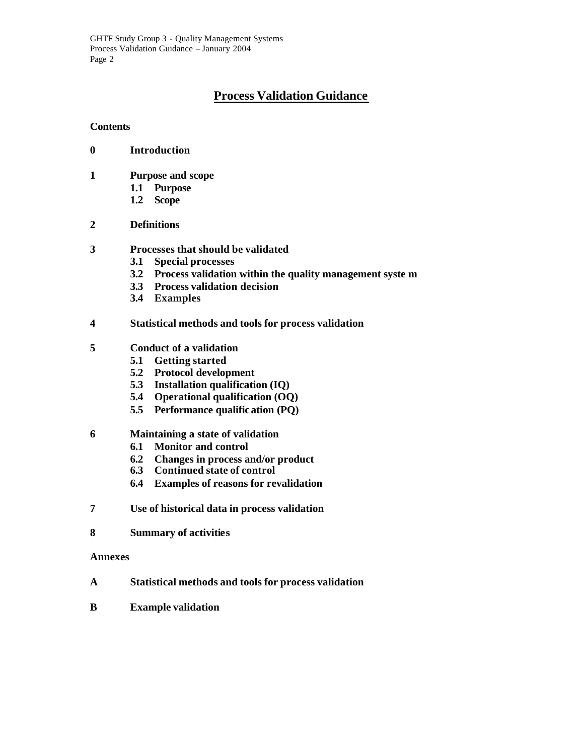# **Process Validation Guidance**

### **Contents**

- **0 Introduction**
- **1 Purpose and scope**
	- **1.1 Purpose**
	- **1.2 Scope**
- **2 Definitions**
- **3 Processes that should be validated**
	- **3.1 Special processes**
	- **3.2 Process validation within the quality management syste m**
	- **3.3 Process validation decision**
	- **3.4 Examples**
- **4 Statistical methods and tools for process validation**

### **5 Conduct of a validation**

- **5.1 Getting started**
- **5.2 Protocol development**
- **5.3 Installation qualification (IQ)**
- **5.4 Operational qualification (OQ)**
- **5.5 Performance qualification (PQ)**
- **6 Maintaining a state of validation**
	- **6.1 Monitor and control**
	- **6.2 Changes in process and/or product**
	- **6.3 Continued state of control**
	- **6.4 Examples of reasons for revalidation**
- **7 Use of historical data in process validation**
- **8 Summary of activities**

### **Annexes**

- **A Statistical methods and tools for process validation**
- **B Example validation**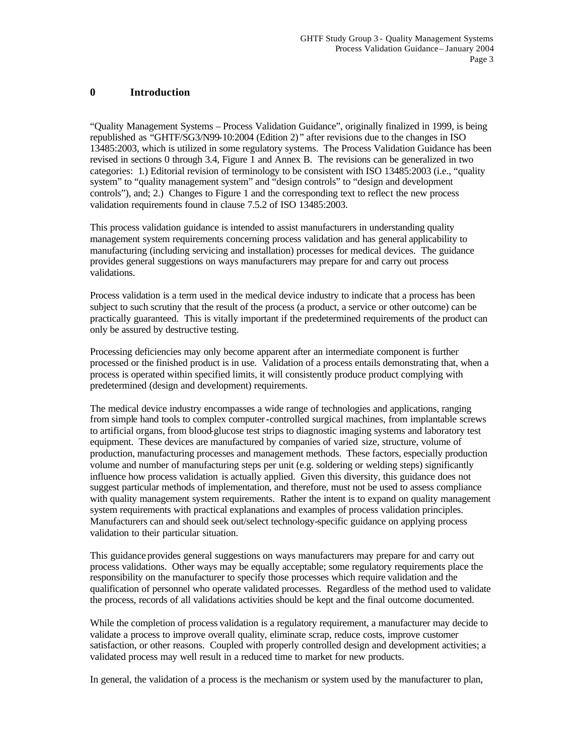### **0 Introduction**

"Quality Management Systems – Process Validation Guidance", originally finalized in 1999, is being republished as "GHTF/SG3/N99-10:2004 (Edition 2) " after revisions due to the changes in ISO 13485:2003, which is utilized in some regulatory systems. The Process Validation Guidance has been revised in sections 0 through 3.4, Figure 1 and Annex B. The revisions can be generalized in two categories: 1.) Editorial revision of terminology to be consistent with ISO 13485:2003 (i.e., "quality system" to "quality management system" and "design controls" to "design and development controls"), and; 2.) Changes to Figure 1 and the corresponding text to reflect the new process validation requirements found in clause 7.5.2 of ISO 13485:2003.

This process validation guidance is intended to assist manufacturers in understanding quality management system requirements concerning process validation and has general applicability to manufacturing (including servicing and installation) processes for medical devices. The guidance provides general suggestions on ways manufacturers may prepare for and carry out process validations.

Process validation is a term used in the medical device industry to indicate that a process has been subject to such scrutiny that the result of the process (a product, a service or other outcome) can be practically guaranteed. This is vitally important if the predetermined requirements of the product can only be assured by destructive testing.

Processing deficiencies may only become apparent after an intermediate component is further processed or the finished product is in use. Validation of a process entails demonstrating that, when a process is operated within specified limits, it will consistently produce product complying with predetermined (design and development) requirements.

The medical device industry encompasses a wide range of technologies and applications, ranging from simple hand tools to complex computer-controlled surgical machines, from implantable screws to artificial organs, from blood-glucose test strips to diagnostic imaging systems and laboratory test equipment. These devices are manufactured by companies of varied size, structure, volume of production, manufacturing processes and management methods. These factors, especially production volume and number of manufacturing steps per unit (e.g. soldering or welding steps) significantly influence how process validation is actually applied. Given this diversity, this guidance does not suggest particular methods of implementation, and therefore, must not be used to assess compliance with quality management system requirements. Rather the intent is to expand on quality management system requirements with practical explanations and examples of process validation principles. Manufacturers can and should seek out/select technology-specific guidance on applying process validation to their particular situation.

This guidance provides general suggestions on ways manufacturers may prepare for and carry out process validations. Other ways may be equally acceptable; some regulatory requirements place the responsibility on the manufacturer to specify those processes which require validation and the qualification of personnel who operate validated processes. Regardless of the method used to validate the process, records of all validations activities should be kept and the final outcome documented.

While the completion of process validation is a regulatory requirement, a manufacturer may decide to validate a process to improve overall quality, eliminate scrap, reduce costs, improve customer satisfaction, or other reasons. Coupled with properly controlled design and development activities; a validated process may well result in a reduced time to market for new products.

In general, the validation of a process is the mechanism or system used by the manufacturer to plan,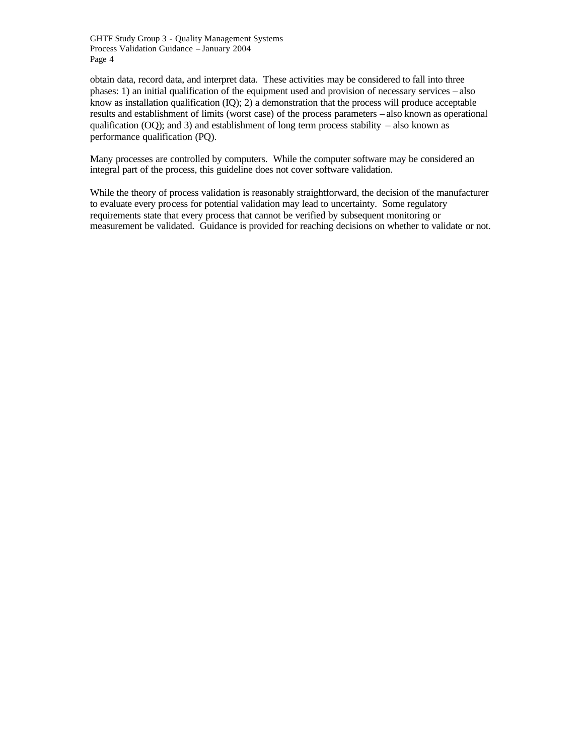GHTF Study Group 3 - Quality Management Systems Process Validation Guidance – January 2004 Page 4

obtain data, record data, and interpret data. These activities may be considered to fall into three phases: 1) an initial qualification of the equipment used and provision of necessary services – also know as installation qualification (IQ); 2) a demonstration that the process will produce acceptable results and establishment of limits (worst case) of the process parameters – also known as operational qualification (OQ); and 3) and establishment of long term process stability – also known as performance qualification (PQ).

Many processes are controlled by computers. While the computer software may be considered an integral part of the process, this guideline does not cover software validation.

While the theory of process validation is reasonably straightforward, the decision of the manufacturer to evaluate every process for potential validation may lead to uncertainty. Some regulatory requirements state that every process that cannot be verified by subsequent monitoring or measurement be validated. Guidance is provided for reaching decisions on whether to validate or not.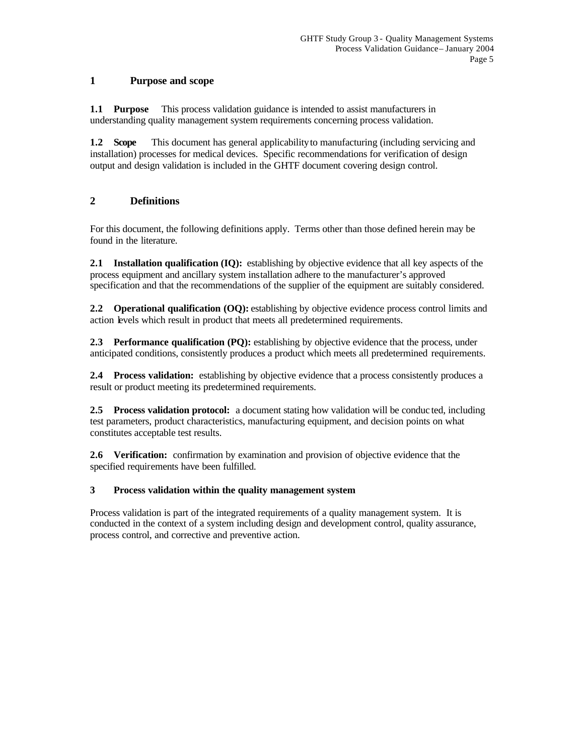### **1 Purpose and scope**

**1.1 Purpose** This process validation guidance is intended to assist manufacturers in understanding quality management system requirements concerning process validation.

**1.2 Scope** This document has general applicability to manufacturing (including servicing and installation) processes for medical devices. Specific recommendations for verification of design output and design validation is included in the GHTF document covering design control.

### **2 Definitions**

For this document, the following definitions apply. Terms other than those defined herein may be found in the literature.

**2.1 Installation qualification (IQ):** establishing by objective evidence that all key aspects of the process equipment and ancillary system installation adhere to the manufacturer's approved specification and that the recommendations of the supplier of the equipment are suitably considered.

**2.2 Operational qualification (OQ):** establishing by objective evidence process control limits and action levels which result in product that meets all predetermined requirements.

**2.3 Performance qualification (PQ):** establishing by objective evidence that the process, under anticipated conditions, consistently produces a product which meets all predetermined requirements.

**2.4 Process validation:** establishing by objective evidence that a process consistently produces a result or product meeting its predetermined requirements.

**2.5 Process validation protocol:** a document stating how validation will be conduc ted, including test parameters, product characteristics, manufacturing equipment, and decision points on what constitutes acceptable test results.

**2.6 Verification:** confirmation by examination and provision of objective evidence that the specified requirements have been fulfilled.

### **3 Process validation within the quality management system**

Process validation is part of the integrated requirements of a quality management system. It is conducted in the context of a system including design and development control, quality assurance, process control, and corrective and preventive action.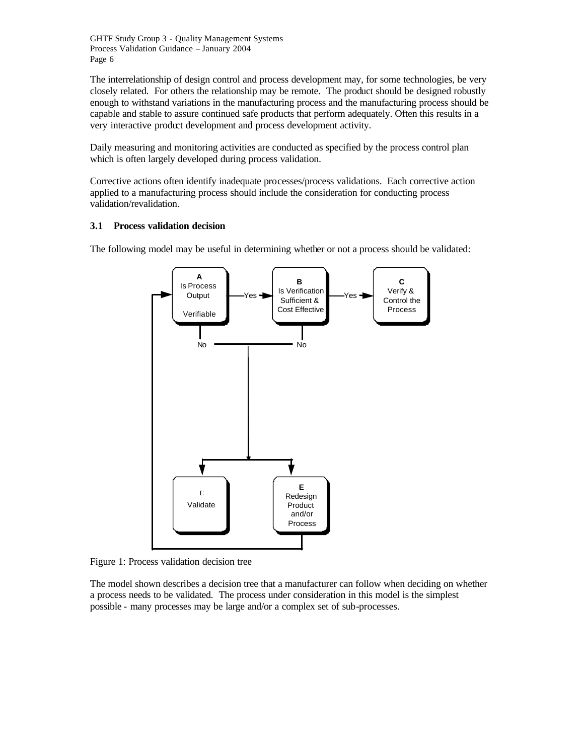GHTF Study Group 3 - Quality Management Systems Process Validation Guidance – January 2004 Page 6

The interrelationship of design control and process development may, for some technologies, be very closely related. For others the relationship may be remote. The product should be designed robustly enough to withstand variations in the manufacturing process and the manufacturing process should be capable and stable to assure continued safe products that perform adequately. Often this results in a very interactive product development and process development activity.

Daily measuring and monitoring activities are conducted as specified by the process control plan which is often largely developed during process validation.

Corrective actions often identify inadequate processes/process validations. Each corrective action applied to a manufacturing process should include the consideration for conducting process validation/revalidation.

### **3.1 Process validation decision**

The following model may be useful in determining whether or not a process should be validated:



Figure 1: Process validation decision tree

The model shown describes a decision tree that a manufacturer can follow when deciding on whether a process needs to be validated. The process under consideration in this model is the simplest possible - many processes may be large and/or a complex set of sub-processes.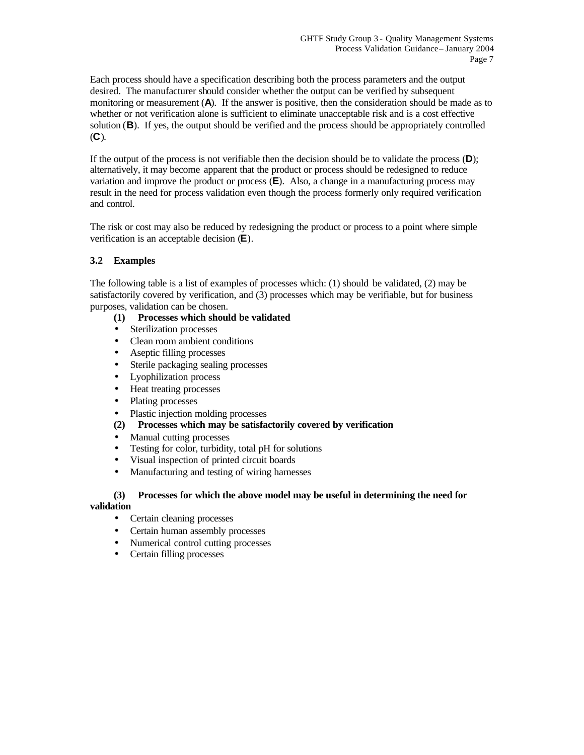Each process should have a specification describing both the process parameters and the output desired. The manufacturer should consider whether the output can be verified by subsequent monitoring or measurement (**A**). If the answer is positive, then the consideration should be made as to whether or not verification alone is sufficient to eliminate unacceptable risk and is a cost effective solution (**B**). If yes, the output should be verified and the process should be appropriately controlled (**C**).

If the output of the process is not verifiable then the decision should be to validate the process (**D**); alternatively, it may become apparent that the product or process should be redesigned to reduce variation and improve the product or process (**E**). Also, a change in a manufacturing process may result in the need for process validation even though the process formerly only required verification and control.

The risk or cost may also be reduced by redesigning the product or process to a point where simple verification is an acceptable decision (**E**).

### **3.2 Examples**

The following table is a list of examples of processes which: (1) should be validated, (2) may be satisfactorily covered by verification, and (3) processes which may be verifiable, but for business purposes, validation can be chosen.

### **(1) Processes which should be validated**

- Sterilization processes
- Clean room ambient conditions
- Aseptic filling processes
- Sterile packaging sealing processes
- Lyophilization process
- Heat treating processes
- Plating processes
- Plastic injection molding processes

### **(2) Processes which may be satisfactorily covered by verification**

- Manual cutting processes
- Testing for color, turbidity, total pH for solutions
- Visual inspection of printed circuit boards
- Manufacturing and testing of wiring harnesses

**(3) Processes for which the above model may be useful in determining the need for validation**

- Certain cleaning processes
- Certain human assembly processes
- Numerical control cutting processes
- Certain filling processes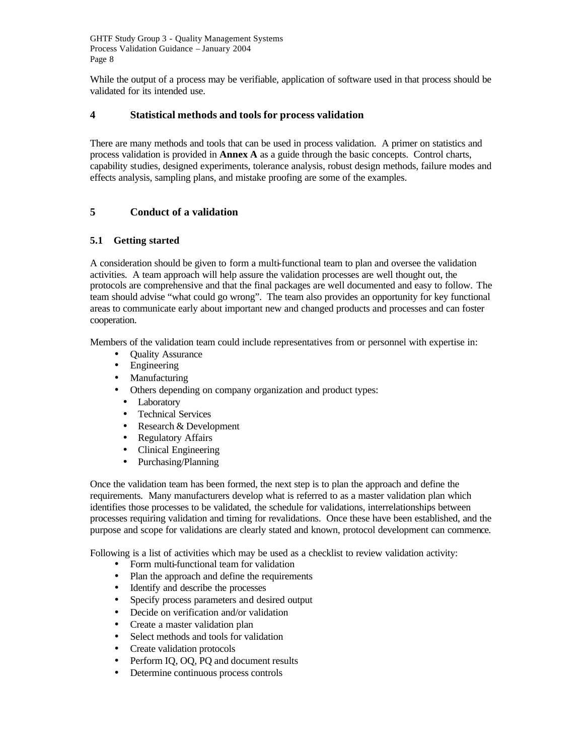While the output of a process may be verifiable, application of software used in that process should be validated for its intended use.

### **4 Statistical methods and tools for process validation**

There are many methods and tools that can be used in process validation. A primer on statistics and process validation is provided in **Annex A** as a guide through the basic concepts. Control charts, capability studies, designed experiments, tolerance analysis, robust design methods, failure modes and effects analysis, sampling plans, and mistake proofing are some of the examples.

### **5 Conduct of a validation**

### **5.1 Getting started**

A consideration should be given to form a multi-functional team to plan and oversee the validation activities. A team approach will help assure the validation processes are well thought out, the protocols are comprehensive and that the final packages are well documented and easy to follow. The team should advise "what could go wrong". The team also provides an opportunity for key functional areas to communicate early about important new and changed products and processes and can foster cooperation.

Members of the validation team could include representatives from or personnel with expertise in:

- Quality Assurance
- Engineering
- Manufacturing
- Others depending on company organization and product types:
	- Laboratory
	- Technical Services
	- Research & Development
	- Regulatory Affairs
	- Clinical Engineering
	- Purchasing/Planning

Once the validation team has been formed, the next step is to plan the approach and define the requirements. Many manufacturers develop what is referred to as a master validation plan which identifies those processes to be validated, the schedule for validations, interrelationships between processes requiring validation and timing for revalidations. Once these have been established, and the purpose and scope for validations are clearly stated and known, protocol development can commence.

Following is a list of activities which may be used as a checklist to review validation activity:

- Form multi-functional team for validation
- Plan the approach and define the requirements
- Identify and describe the processes
- Specify process parameters and desired output
- Decide on verification and/or validation
- Create a master validation plan
- Select methods and tools for validation
- Create validation protocols
- Perform IQ, OQ, PQ and document results
- Determine continuous process controls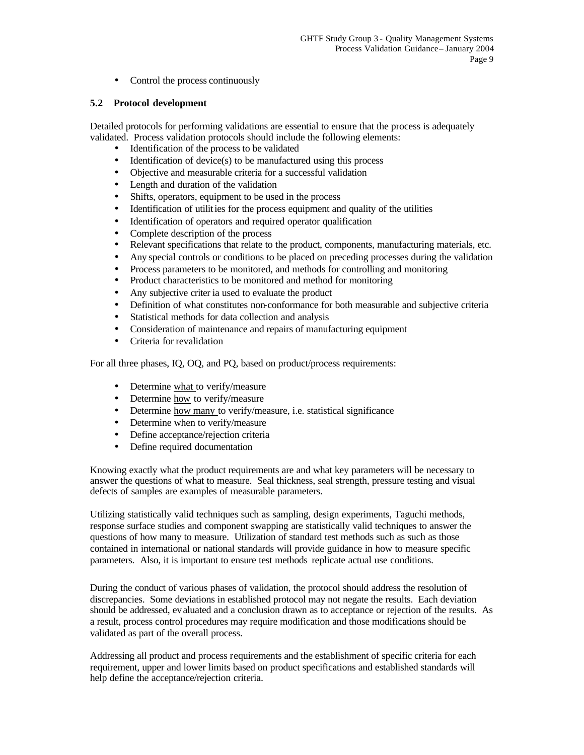• Control the process continuously

### **5.2 Protocol development**

Detailed protocols for performing validations are essential to ensure that the process is adequately validated. Process validation protocols should include the following elements:

- Identification of the process to be validated
- Identification of device(s) to be manufactured using this process
- Objective and measurable criteria for a successful validation
- Length and duration of the validation
- Shifts, operators, equipment to be used in the process
- Identification of utilities for the process equipment and quality of the utilities
- Identification of operators and required operator qualification
- Complete description of the process
- Relevant specifications that relate to the product, components, manufacturing materials, etc.
- Any special controls or conditions to be placed on preceding processes during the validation
- Process parameters to be monitored, and methods for controlling and monitoring
- Product characteristics to be monitored and method for monitoring
- Any subjective criter ia used to evaluate the product
- Definition of what constitutes non-conformance for both measurable and subjective criteria
- Statistical methods for data collection and analysis
- Consideration of maintenance and repairs of manufacturing equipment
- Criteria for revalidation

For all three phases, IQ, OQ, and PQ, based on product/process requirements:

- Determine what to verify/measure
- Determine how to verify/measure
- Determine how many to verify/measure, i.e. statistical significance
- Determine when to verify/measure
- Define acceptance/rejection criteria
- Define required documentation

Knowing exactly what the product requirements are and what key parameters will be necessary to answer the questions of what to measure. Seal thickness, seal strength, pressure testing and visual defects of samples are examples of measurable parameters.

Utilizing statistically valid techniques such as sampling, design experiments, Taguchi methods, response surface studies and component swapping are statistically valid techniques to answer the questions of how many to measure. Utilization of standard test methods such as such as those contained in international or national standards will provide guidance in how to measure specific parameters. Also, it is important to ensure test methods replicate actual use conditions.

During the conduct of various phases of validation, the protocol should address the resolution of discrepancies. Some deviations in established protocol may not negate the results. Each deviation should be addressed, evaluated and a conclusion drawn as to acceptance or rejection of the results. As a result, process control procedures may require modification and those modifications should be validated as part of the overall process.

Addressing all product and process requirements and the establishment of specific criteria for each requirement, upper and lower limits based on product specifications and established standards will help define the acceptance/rejection criteria.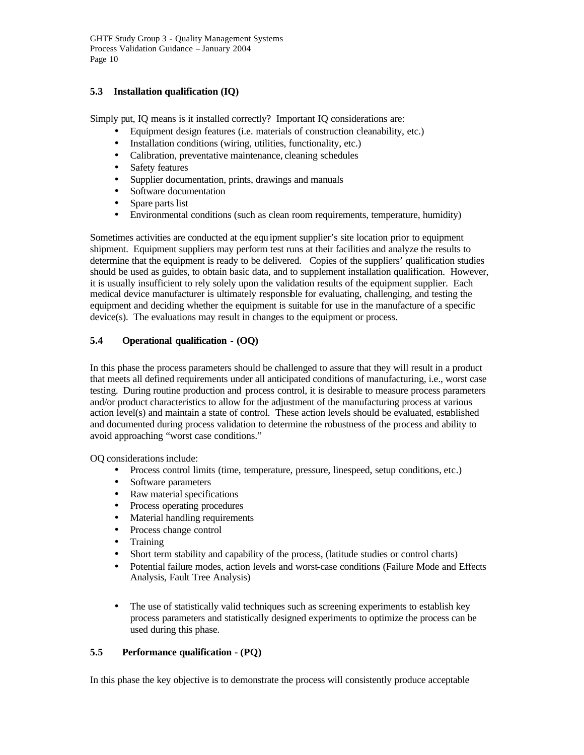GHTF Study Group 3 - Quality Management Systems Process Validation Guidance – January 2004 Page 10

### **5.3 Installation qualification (IQ)**

Simply put, IQ means is it installed correctly? Important IQ considerations are:

- Equipment design features (i.e. materials of construction cleanability, etc.)
- Installation conditions (wiring, utilities, functionality, etc.)
- Calibration, preventative maintenance, cleaning schedules
- Safety features
- Supplier documentation, prints, drawings and manuals
- Software documentation
- Spare parts list
- Environmental conditions (such as clean room requirements, temperature, humidity)

Sometimes activities are conducted at the equ ipment supplier's site location prior to equipment shipment. Equipment suppliers may perform test runs at their facilities and analyze the results to determine that the equipment is ready to be delivered. Copies of the suppliers' qualification studies should be used as guides, to obtain basic data, and to supplement installation qualification. However, it is usually insufficient to rely solely upon the validation results of the equipment supplier. Each medical device manufacturer is ultimately responsible for evaluating, challenging, and testing the equipment and deciding whether the equipment is suitable for use in the manufacture of a specific device(s). The evaluations may result in changes to the equipment or process.

### **5.4 Operational qualification - (OQ)**

In this phase the process parameters should be challenged to assure that they will result in a product that meets all defined requirements under all anticipated conditions of manufacturing, i.e., worst case testing. During routine production and process control, it is desirable to measure process parameters and/or product characteristics to allow for the adjustment of the manufacturing process at various action level(s) and maintain a state of control. These action levels should be evaluated, established and documented during process validation to determine the robustness of the process and ability to avoid approaching "worst case conditions."

OQ considerations include:

- Process control limits (time, temperature, pressure, linespeed, setup conditions, etc.)
- Software parameters
- Raw material specifications
- Process operating procedures
- Material handling requirements
- Process change control
- Training
- Short term stability and capability of the process, (latitude studies or control charts)
- Potential failure modes, action levels and worst-case conditions (Failure Mode and Effects Analysis, Fault Tree Analysis)
- The use of statistically valid techniques such as screening experiments to establish key process parameters and statistically designed experiments to optimize the process can be used during this phase.

### **5.5 Performance qualification - (PQ)**

In this phase the key objective is to demonstrate the process will consistently produce acceptable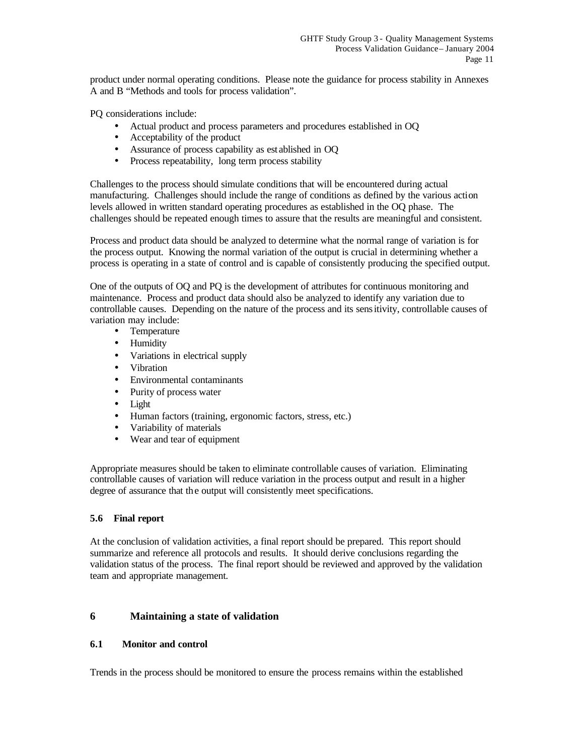product under normal operating conditions. Please note the guidance for process stability in Annexes A and B "Methods and tools for process validation".

PQ considerations include:

- Actual product and process parameters and procedures established in OQ
- Acceptability of the product
- Assurance of process capability as est ablished in OQ
- Process repeatability, long term process stability

Challenges to the process should simulate conditions that will be encountered during actual manufacturing. Challenges should include the range of conditions as defined by the various action levels allowed in written standard operating procedures as established in the OQ phase. The challenges should be repeated enough times to assure that the results are meaningful and consistent.

Process and product data should be analyzed to determine what the normal range of variation is for the process output. Knowing the normal variation of the output is crucial in determining whether a process is operating in a state of control and is capable of consistently producing the specified output.

One of the outputs of OQ and PQ is the development of attributes for continuous monitoring and maintenance. Process and product data should also be analyzed to identify any variation due to controllable causes. Depending on the nature of the process and its sensitivity, controllable causes of variation may include:

- Temperature
- Humidity
- Variations in electrical supply
- Vibration
- Environmental contaminants
- Purity of process water
- Light
- Human factors (training, ergonomic factors, stress, etc.)
- Variability of materials
- Wear and tear of equipment

Appropriate measures should be taken to eliminate controllable causes of variation. Eliminating controllable causes of variation will reduce variation in the process output and result in a higher degree of assurance that the output will consistently meet specifications.

### **5.6 Final report**

At the conclusion of validation activities, a final report should be prepared. This report should summarize and reference all protocols and results. It should derive conclusions regarding the validation status of the process. The final report should be reviewed and approved by the validation team and appropriate management.

### **6 Maintaining a state of validation**

### **6.1 Monitor and control**

Trends in the process should be monitored to ensure the process remains within the established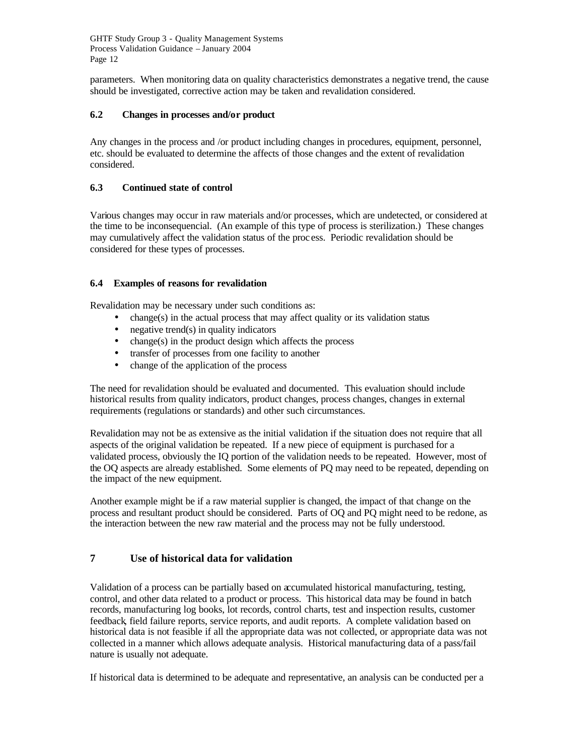parameters. When monitoring data on quality characteristics demonstrates a negative trend, the cause should be investigated, corrective action may be taken and revalidation considered.

### **6.2 Changes in processes and/or product**

Any changes in the process and /or product including changes in procedures, equipment, personnel, etc. should be evaluated to determine the affects of those changes and the extent of revalidation considered.

### **6.3 Continued state of control**

Various changes may occur in raw materials and/or processes, which are undetected, or considered at the time to be inconsequencial. (An example of this type of process is sterilization.) These changes may cumulatively affect the validation status of the proc ess. Periodic revalidation should be considered for these types of processes.

### **6.4 Examples of reasons for revalidation**

Revalidation may be necessary under such conditions as:

- $\bullet$  change(s) in the actual process that may affect quality or its validation status
- $negative trend(s)$  in quality indicators
- change(s) in the product design which affects the process
- transfer of processes from one facility to another
- change of the application of the process

The need for revalidation should be evaluated and documented. This evaluation should include historical results from quality indicators, product changes, process changes, changes in external requirements (regulations or standards) and other such circumstances.

Revalidation may not be as extensive as the initial validation if the situation does not require that all aspects of the original validation be repeated. If a new piece of equipment is purchased for a validated process, obviously the IQ portion of the validation needs to be repeated. However, most of the OQ aspects are already established. Some elements of PQ may need to be repeated, depending on the impact of the new equipment.

Another example might be if a raw material supplier is changed, the impact of that change on the process and resultant product should be considered. Parts of OQ and PQ might need to be redone, as the interaction between the new raw material and the process may not be fully understood.

### **7 Use of historical data for validation**

Validation of a process can be partially based on accumulated historical manufacturing, testing, control, and other data related to a product or process. This historical data may be found in batch records, manufacturing log books, lot records, control charts, test and inspection results, customer feedback, field failure reports, service reports, and audit reports. A complete validation based on historical data is not feasible if all the appropriate data was not collected, or appropriate data was not collected in a manner which allows adequate analysis. Historical manufacturing data of a pass/fail nature is usually not adequate.

If historical data is determined to be adequate and representative, an analysis can be conducted per a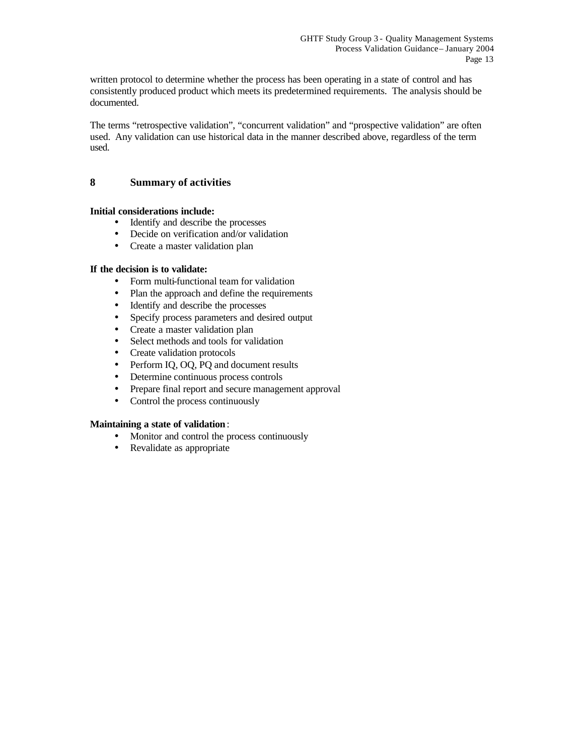written protocol to determine whether the process has been operating in a state of control and has consistently produced product which meets its predetermined requirements. The analysis should be documented.

The terms "retrospective validation", "concurrent validation" and "prospective validation" are often used. Any validation can use historical data in the manner described above, regardless of the term used.

### **8 Summary of activities**

### **Initial considerations include:**

- Identify and describe the processes
- Decide on verification and/or validation
- Create a master validation plan

### **If the decision is to validate:**

- Form multi-functional team for validation
- Plan the approach and define the requirements
- Identify and describe the processes
- Specify process parameters and desired output
- Create a master validation plan
- Select methods and tools for validation
- Create validation protocols
- Perform IQ, OQ, PQ and document results
- Determine continuous process controls
- Prepare final report and secure management approval
- Control the process continuously

### **Maintaining a state of validation**:

- Monitor and control the process continuously
- Revalidate as appropriate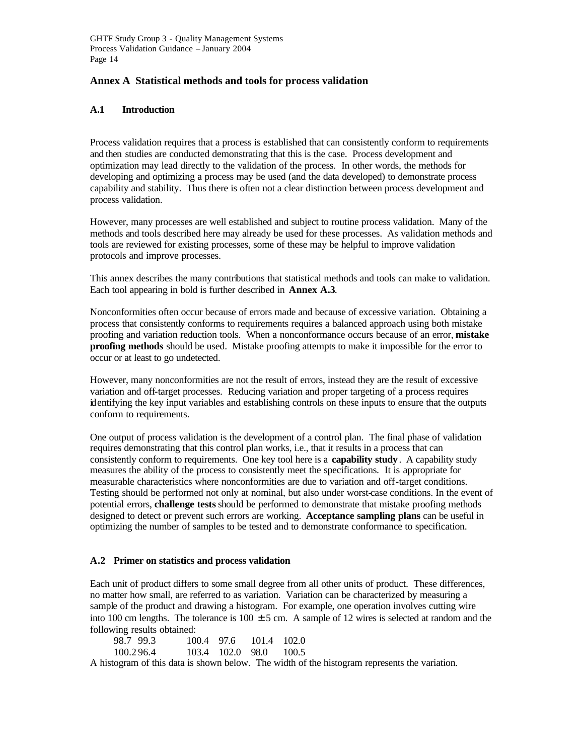### **Annex A Statistical methods and tools for process validation**

### **A.1 Introduction**

Process validation requires that a process is established that can consistently conform to requirements and then studies are conducted demonstrating that this is the case. Process development and optimization may lead directly to the validation of the process. In other words, the methods for developing and optimizing a process may be used (and the data developed) to demonstrate process capability and stability. Thus there is often not a clear distinction between process development and process validation.

However, many processes are well established and subject to routine process validation. Many of the methods and tools described here may already be used for these processes. As validation methods and tools are reviewed for existing processes, some of these may be helpful to improve validation protocols and improve processes.

This annex describes the many contributions that statistical methods and tools can make to validation. Each tool appearing in bold is further described in **Annex A.3**.

Nonconformities often occur because of errors made and because of excessive variation. Obtaining a process that consistently conforms to requirements requires a balanced approach using both mistake proofing and variation reduction tools. When a nonconformance occurs because of an error, **mistake proofing methods** should be used. Mistake proofing attempts to make it impossible for the error to occur or at least to go undetected.

However, many nonconformities are not the result of errors, instead they are the result of excessive variation and off-target processes. Reducing variation and proper targeting of a process requires identifying the key input variables and establishing controls on these inputs to ensure that the outputs conform to requirements.

One output of process validation is the development of a control plan. The final phase of validation requires demonstrating that this control plan works, i.e., that it results in a process that can consistently conform to requirements. One key tool here is a **capability study**. A capability study measures the ability of the process to consistently meet the specifications. It is appropriate for measurable characteristics where nonconformities are due to variation and off-target conditions. Testing should be performed not only at nominal, but also under worst-case conditions. In the event of potential errors, **challenge tests** should be performed to demonstrate that mistake proofing methods designed to detect or prevent such errors are working. **Acceptance sampling plans** can be useful in optimizing the number of samples to be tested and to demonstrate conformance to specification.

### **A.2 Primer on statistics and process validation**

Each unit of product differs to some small degree from all other units of product. These differences, no matter how small, are referred to as variation. Variation can be characterized by measuring a sample of the product and drawing a histogram. For example, one operation involves cutting wire into 100 cm lengths. The tolerance is  $100 \pm 5$  cm. A sample of 12 wires is selected at random and the following results obtained:

| 98.7 99.3                                                                                     |  | $100.4$ 97.6 $101.4$ 102.0 |  |
|-----------------------------------------------------------------------------------------------|--|----------------------------|--|
| 100.296.4 103.4 102.0 98.0 100.5                                                              |  |                            |  |
| A histogram of this data is shown below. The width of the histogram represents the variation. |  |                            |  |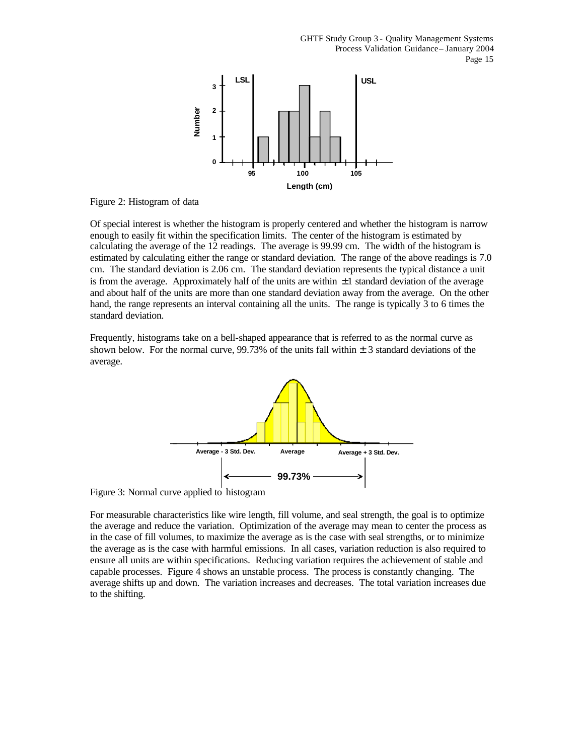GHTF Study Group 3 - Quality Management Systems Process Validation Guidance– January 2004 Page 15



Figure 2: Histogram of data

Of special interest is whether the histogram is properly centered and whether the histogram is narrow enough to easily fit within the specification limits. The center of the histogram is estimated by calculating the average of the 12 readings. The average is 99.99 cm. The width of the histogram is estimated by calculating either the range or standard deviation. The range of the above readings is 7.0 cm. The standard deviation is 2.06 cm. The standard deviation represents the typical distance a unit is from the average. Approximately half of the units are within  $\pm 1$  standard deviation of the average and about half of the units are more than one standard deviation away from the average. On the other hand, the range represents an interval containing all the units. The range is typically 3 to 6 times the standard deviation.

Frequently, histograms take on a bell-shaped appearance that is referred to as the normal curve as shown below. For the normal curve,  $99.73\%$  of the units fall within  $\pm 3$  standard deviations of the average.



Figure 3: Normal curve applied to histogram

For measurable characteristics like wire length, fill volume, and seal strength, the goal is to optimize the average and reduce the variation. Optimization of the average may mean to center the process as in the case of fill volumes, to maximize the average as is the case with seal strengths, or to minimize the average as is the case with harmful emissions. In all cases, variation reduction is also required to ensure all units are within specifications. Reducing variation requires the achievement of stable and capable processes. Figure 4 shows an unstable process. The process is constantly changing. The average shifts up and down. The variation increases and decreases. The total variation increases due to the shifting.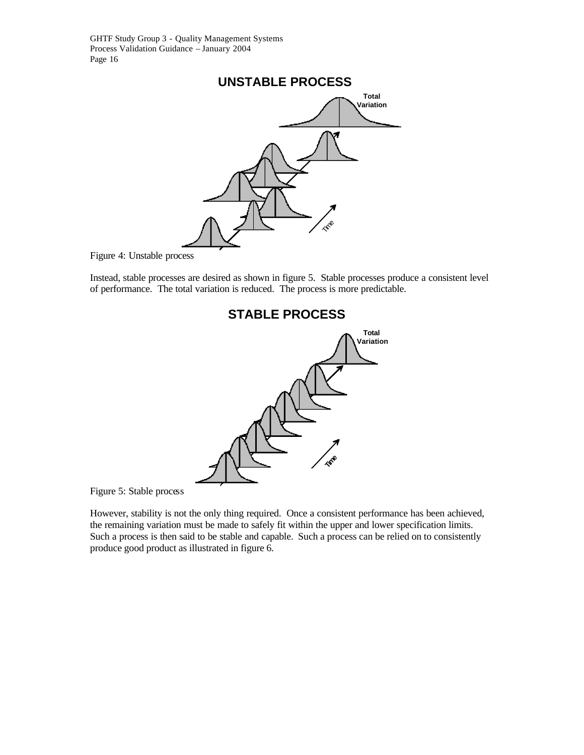### **UNSTABLE PROCESS**



Figure 4: Unstable process

Instead, stable processes are desired as shown in figure 5. Stable processes produce a consistent level of performance. The total variation is reduced. The process is more predictable.



Figure 5: Stable process

However, stability is not the only thing required. Once a consistent performance has been achieved, the remaining variation must be made to safely fit within the upper and lower specification limits. Such a process is then said to be stable and capable. Such a process can be relied on to consistently produce good product as illustrated in figure 6.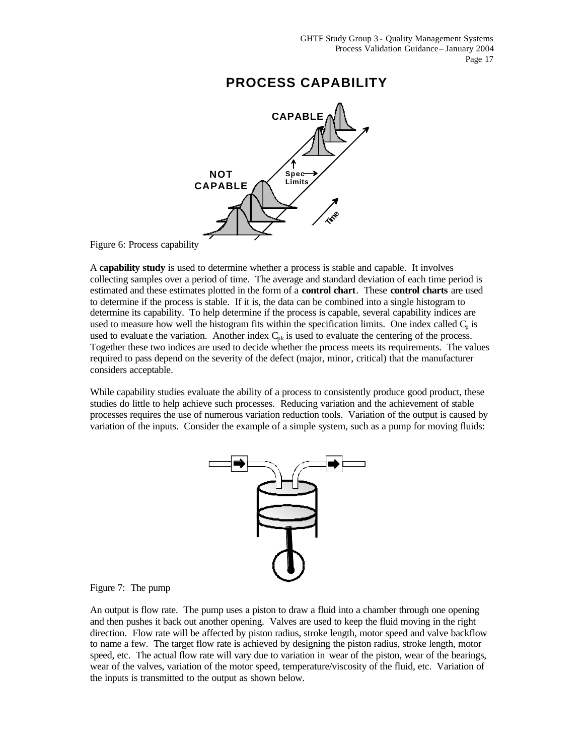# **PROCESS CAPABILITY**



Figure 6: Process capability

A **capability study** is used to determine whether a process is stable and capable. It involves collecting samples over a period of time. The average and standard deviation of each time period is estimated and these estimates plotted in the form of a **control chart**. These **control charts** are used to determine if the process is stable. If it is, the data can be combined into a single histogram to determine its capability. To help determine if the process is capable, several capability indices are used to measure how well the histogram fits within the specification limits. One index called  $C_p$  is used to evaluate the variation. Another index  $C_{pk}$  is used to evaluate the centering of the process. Together these two indices are used to decide whether the process meets its requirements. The values required to pass depend on the severity of the defect (major, minor, critical) that the manufacturer considers acceptable.

While capability studies evaluate the ability of a process to consistently produce good product, these studies do little to help achieve such processes. Reducing variation and the achievement of stable processes requires the use of numerous variation reduction tools. Variation of the output is caused by variation of the inputs. Consider the example of a simple system, such as a pump for moving fluids:





An output is flow rate. The pump uses a piston to draw a fluid into a chamber through one opening and then pushes it back out another opening. Valves are used to keep the fluid moving in the right direction. Flow rate will be affected by piston radius, stroke length, motor speed and valve backflow to name a few. The target flow rate is achieved by designing the piston radius, stroke length, motor speed, etc. The actual flow rate will vary due to variation in wear of the piston, wear of the bearings, wear of the valves, variation of the motor speed, temperature/viscosity of the fluid, etc. Variation of the inputs is transmitted to the output as shown below.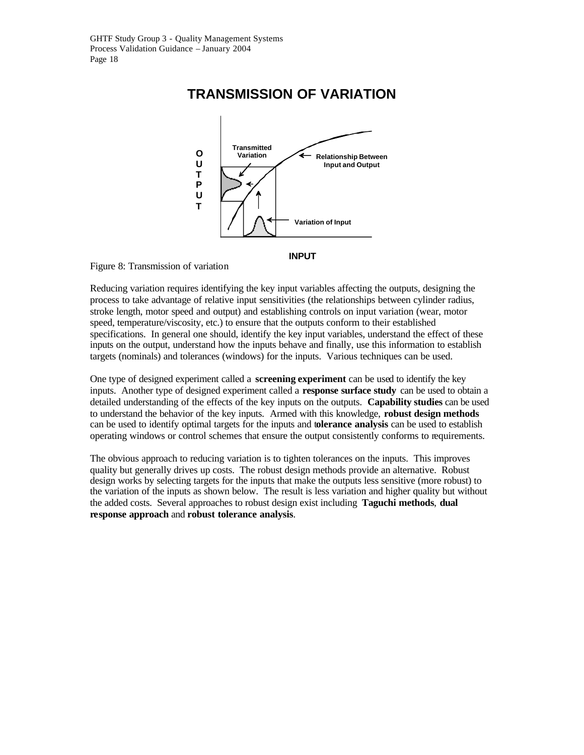# **TRANSMISSION OF VARIATION**



#### **INPUT**

Figure 8: Transmission of variation

Reducing variation requires identifying the key input variables affecting the outputs, designing the process to take advantage of relative input sensitivities (the relationships between cylinder radius, stroke length, motor speed and output) and establishing controls on input variation (wear, motor speed, temperature/viscosity, etc.) to ensure that the outputs conform to their established specifications. In general one should, identify the key input variables, understand the effect of these inputs on the output, understand how the inputs behave and finally, use this information to establish targets (nominals) and tolerances (windows) for the inputs. Various techniques can be used.

One type of designed experiment called a **screening experiment** can be used to identify the key inputs. Another type of designed experiment called a **response surface study** can be used to obtain a detailed understanding of the effects of the key inputs on the outputs. **Capability studies** can be used to understand the behavior of the key inputs. Armed with this knowledge, **robust design methods** can be used to identify optimal targets for the inputs and t**olerance analysis** can be used to establish operating windows or control schemes that ensure the output consistently conforms to requirements.

The obvious approach to reducing variation is to tighten tolerances on the inputs. This improves quality but generally drives up costs. The robust design methods provide an alternative. Robust design works by selecting targets for the inputs that make the outputs less sensitive (more robust) to the variation of the inputs as shown below. The result is less variation and higher quality but without the added costs. Several approaches to robust design exist including **Taguchi methods**, **dual response approach** and **robust tolerance analysis**.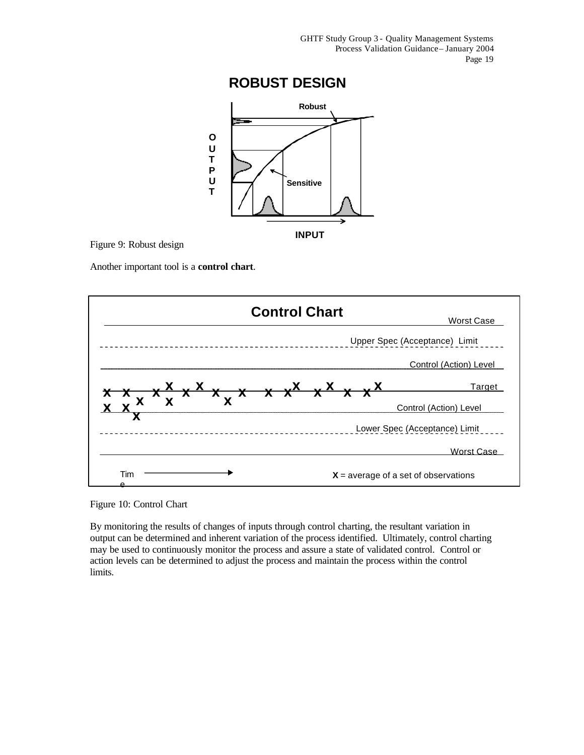# **ROBUST DESIGN**



Figure 9: Robust design

Another important tool is a **control chart**.



Figure 10: Control Chart

By monitoring the results of changes of inputs through control charting, the resultant variation in output can be determined and inherent variation of the process identified. Ultimately, control charting may be used to continuously monitor the process and assure a state of validated control. Control or action levels can be determined to adjust the process and maintain the process within the control limits.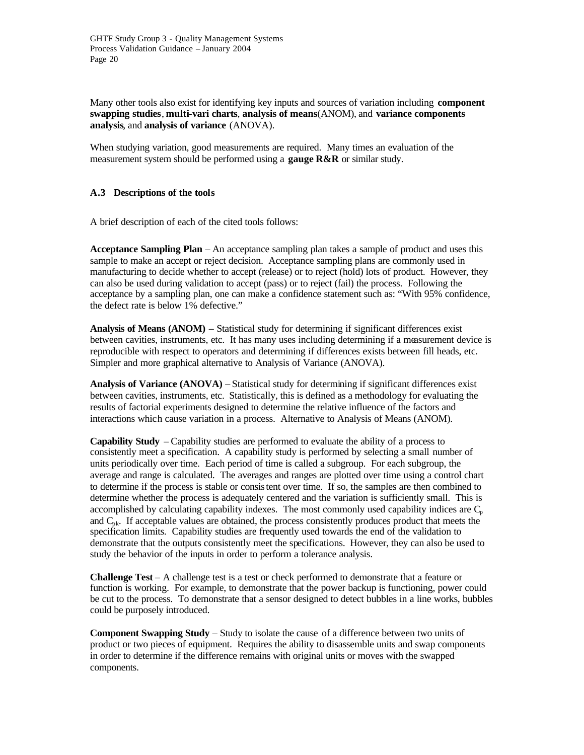Many other tools also exist for identifying key inputs and sources of variation including **component swapping studies**, **multi-vari charts**, **analysis of means** (ANOM), and **variance components analysis**, and **analysis of variance** (ANOVA).

When studying variation, good measurements are required. Many times an evaluation of the measurement system should be performed using a **gauge R&R** or similar study.

### **A.3 Descriptions of the tools**

A brief description of each of the cited tools follows:

**Acceptance Sampling Plan** – An acceptance sampling plan takes a sample of product and uses this sample to make an accept or reject decision. Acceptance sampling plans are commonly used in manufacturing to decide whether to accept (release) or to reject (hold) lots of product. However, they can also be used during validation to accept (pass) or to reject (fail) the process. Following the acceptance by a sampling plan, one can make a confidence statement such as: "With 95% confidence, the defect rate is below 1% defective."

**Analysis of Means (ANOM)** – Statistical study for determining if significant differences exist between cavities, instruments, etc. It has many uses including determining if a measurement device is reproducible with respect to operators and determining if differences exists between fill heads, etc. Simpler and more graphical alternative to Analysis of Variance (ANOVA).

**Analysis of Variance (ANOVA)** – Statistical study for determining if significant differences exist between cavities, instruments, etc. Statistically, this is defined as a methodology for evaluating the results of factorial experiments designed to determine the relative influence of the factors and interactions which cause variation in a process. Alternative to Analysis of Means (ANOM).

**Capability Study** – Capability studies are performed to evaluate the ability of a process to consistently meet a specification. A capability study is performed by selecting a small number of units periodically over time. Each period of time is called a subgroup. For each subgroup, the average and range is calculated. The averages and ranges are plotted over time using a control chart to determine if the process is stable or consistent over time. If so, the samples are then combined to determine whether the process is adequately centered and the variation is sufficiently small. This is accomplished by calculating capability indexes. The most commonly used capability indices are  $C_p$ and  $C_{\text{pk}}$ . If acceptable values are obtained, the process consistently produces product that meets the specification limits. Capability studies are frequently used towards the end of the validation to demonstrate that the outputs consistently meet the specifications. However, they can also be used to study the behavior of the inputs in order to perform a tolerance analysis.

**Challenge Test** – A challenge test is a test or check performed to demonstrate that a feature or function is working. For example, to demonstrate that the power backup is functioning, power could be cut to the process. To demonstrate that a sensor designed to detect bubbles in a line works, bubbles could be purposely introduced.

**Component Swapping Study** – Study to isolate the cause of a difference between two units of product or two pieces of equipment. Requires the ability to disassemble units and swap components in order to determine if the difference remains with original units or moves with the swapped components.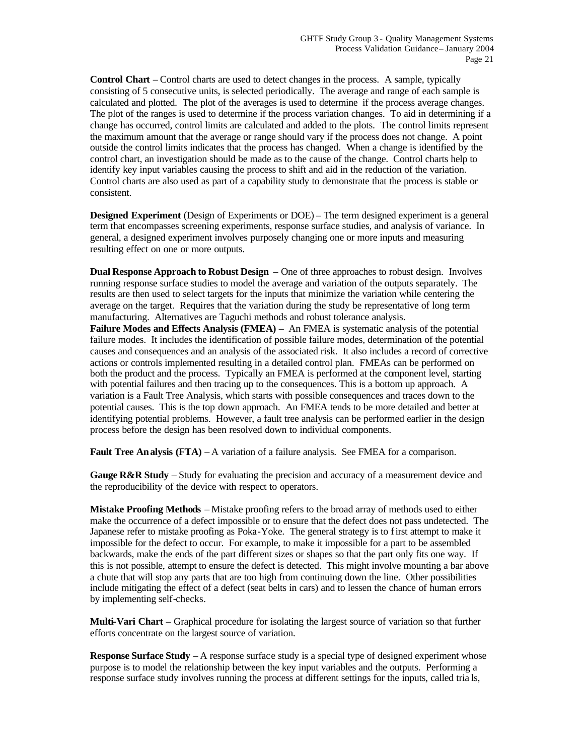**Control Chart** – Control charts are used to detect changes in the process. A sample, typically consisting of 5 consecutive units, is selected periodically. The average and range of each sample is calculated and plotted. The plot of the averages is used to determine if the process average changes. The plot of the ranges is used to determine if the process variation changes. To aid in determining if a change has occurred, control limits are calculated and added to the plots. The control limits represent the maximum amount that the average or range should vary if the process does not change. A point outside the control limits indicates that the process has changed. When a change is identified by the control chart, an investigation should be made as to the cause of the change. Control charts help to identify key input variables causing the process to shift and aid in the reduction of the variation. Control charts are also used as part of a capability study to demonstrate that the process is stable or consistent.

**Designed Experiment** (Design of Experiments or DOE) – The term designed experiment is a general term that encompasses screening experiments, response surface studies, and analysis of variance. In general, a designed experiment involves purposely changing one or more inputs and measuring resulting effect on one or more outputs.

**Dual Response Approach to Robust Design** – One of three approaches to robust design. Involves running response surface studies to model the average and variation of the outputs separately. The results are then used to select targets for the inputs that minimize the variation while centering the average on the target. Requires that the variation during the study be representative of long term manufacturing. Alternatives are Taguchi methods and robust tolerance analysis.

**Failure Modes and Effects Analysis (FMEA)** – An FMEA is systematic analysis of the potential failure modes. It includes the identification of possible failure modes, determination of the potential causes and consequences and an analysis of the associated risk. It also includes a record of corrective actions or controls implemented resulting in a detailed control plan. FMEAs can be performed on both the product and the process. Typically an FMEA is performed at the component level, starting with potential failures and then tracing up to the consequences. This is a bottom up approach. A variation is a Fault Tree Analysis, which starts with possible consequences and traces down to the potential causes. This is the top down approach. An FMEA tends to be more detailed and better at identifying potential problems. However, a fault tree analysis can be performed earlier in the design process before the design has been resolved down to individual components.

**Fault Tree Analysis (FTA)** – A variation of a failure analysis. See FMEA for a comparison.

**Gauge R&R Study** – Study for evaluating the precision and accuracy of a measurement device and the reproducibility of the device with respect to operators.

**Mistake Proofing Methods** – Mistake proofing refers to the broad array of methods used to either make the occurrence of a defect impossible or to ensure that the defect does not pass undetected. The Japanese refer to mistake proofing as Poka-Yoke. The general strategy is to first attempt to make it impossible for the defect to occur. For example, to make it impossible for a part to be assembled backwards, make the ends of the part different sizes or shapes so that the part only fits one way. If this is not possible, attempt to ensure the defect is detected. This might involve mounting a bar above a chute that will stop any parts that are too high from continuing down the line. Other possibilities include mitigating the effect of a defect (seat belts in cars) and to lessen the chance of human errors by implementing self-checks.

**Multi-Vari Chart** – Graphical procedure for isolating the largest source of variation so that further efforts concentrate on the largest source of variation.

**Response Surface Study** – A response surface study is a special type of designed experiment whose purpose is to model the relationship between the key input variables and the outputs. Performing a response surface study involves running the process at different settings for the inputs, called tria ls,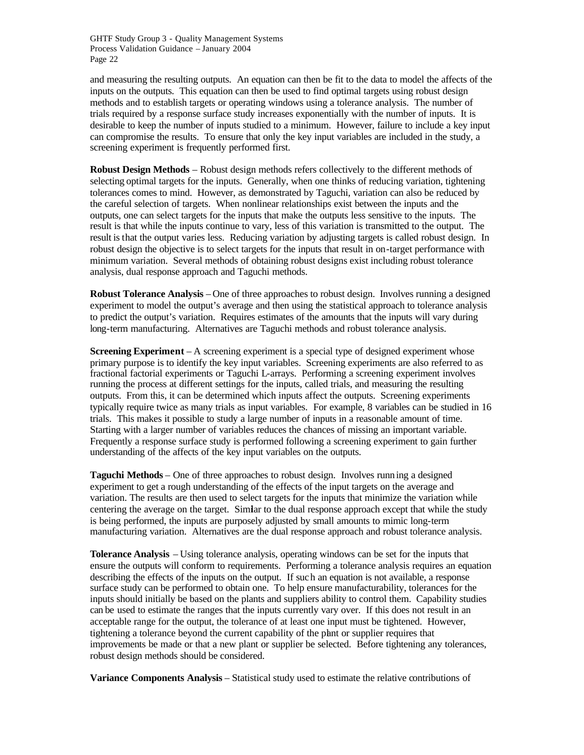GHTF Study Group 3 - Quality Management Systems Process Validation Guidance – January 2004 Page 22

and measuring the resulting outputs. An equation can then be fit to the data to model the affects of the inputs on the outputs. This equation can then be used to find optimal targets using robust design methods and to establish targets or operating windows using a tolerance analysis. The number of trials required by a response surface study increases exponentially with the number of inputs. It is desirable to keep the number of inputs studied to a minimum. However, failure to include a key input can compromise the results. To ensure that only the key input variables are included in the study, a screening experiment is frequently performed first.

**Robust Design Methods** – Robust design methods refers collectively to the different methods of selecting optimal targets for the inputs. Generally, when one thinks of reducing variation, tightening tolerances comes to mind. However, as demonstrated by Taguchi, variation can also be reduced by the careful selection of targets. When nonlinear relationships exist between the inputs and the outputs, one can select targets for the inputs that make the outputs less sensitive to the inputs. The result is that while the inputs continue to vary, less of this variation is transmitted to the output. The result is that the output varies less. Reducing variation by adjusting targets is called robust design. In robust design the objective is to select targets for the inputs that result in on-target performance with minimum variation. Several methods of obtaining robust designs exist including robust tolerance analysis, dual response approach and Taguchi methods.

**Robust Tolerance Analysis** – One of three approaches to robust design. Involves running a designed experiment to model the output's average and then using the statistical approach to tolerance analysis to predict the output's variation. Requires estimates of the amounts that the inputs will vary during long-term manufacturing. Alternatives are Taguchi methods and robust tolerance analysis.

**Screening Experiment** – A screening experiment is a special type of designed experiment whose primary purpose is to identify the key input variables. Screening experiments are also referred to as fractional factorial experiments or Taguchi L-arrays. Performing a screening experiment involves running the process at different settings for the inputs, called trials, and measuring the resulting outputs. From this, it can be determined which inputs affect the outputs. Screening experiments typically require twice as many trials as input variables. For example, 8 variables can be studied in 16 trials. This makes it possible to study a large number of inputs in a reasonable amount of time. Starting with a larger number of variables reduces the chances of missing an important variable. Frequently a response surface study is performed following a screening experiment to gain further understanding of the affects of the key input variables on the outputs.

**Taguchi Methods** – One of three approaches to robust design. Involves running a designed experiment to get a rough understanding of the effects of the input targets on the average and variation. The results are then used to select targets for the inputs that minimize the variation while centering the average on the target. Similar to the dual response approach except that while the study is being performed, the inputs are purposely adjusted by small amounts to mimic long-term manufacturing variation. Alternatives are the dual response approach and robust tolerance analysis.

**Tolerance Analysis** – Using tolerance analysis, operating windows can be set for the inputs that ensure the outputs will conform to requirements. Performing a tolerance analysis requires an equation describing the effects of the inputs on the output. If suc h an equation is not available, a response surface study can be performed to obtain one. To help ensure manufacturability, tolerances for the inputs should initially be based on the plants and suppliers ability to control them. Capability studies can be used to estimate the ranges that the inputs currently vary over. If this does not result in an acceptable range for the output, the tolerance of at least one input must be tightened. However, tightening a tolerance beyond the current capability of the plant or supplier requires that improvements be made or that a new plant or supplier be selected. Before tightening any tolerances, robust design methods should be considered.

**Variance Components Analysis** – Statistical study used to estimate the relative contributions of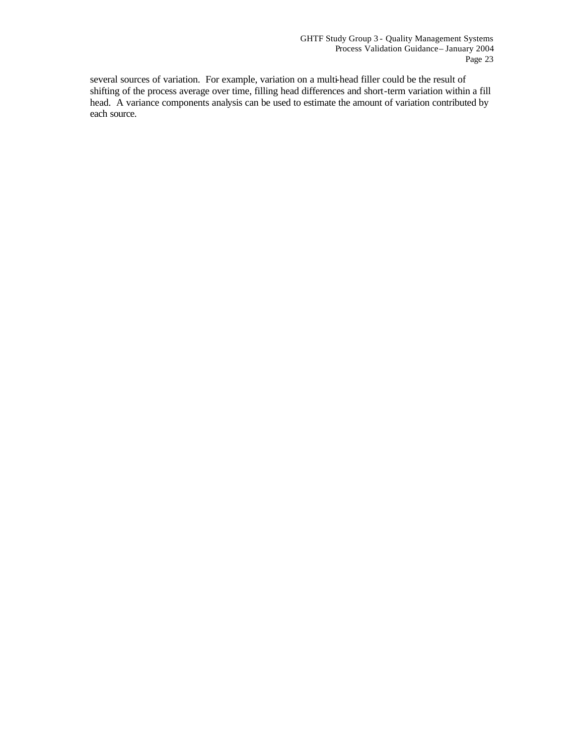several sources of variation. For example, variation on a multi-head filler could be the result of shifting of the process average over time, filling head differences and short-term variation within a fill head. A variance components analysis can be used to estimate the amount of variation contributed by each source.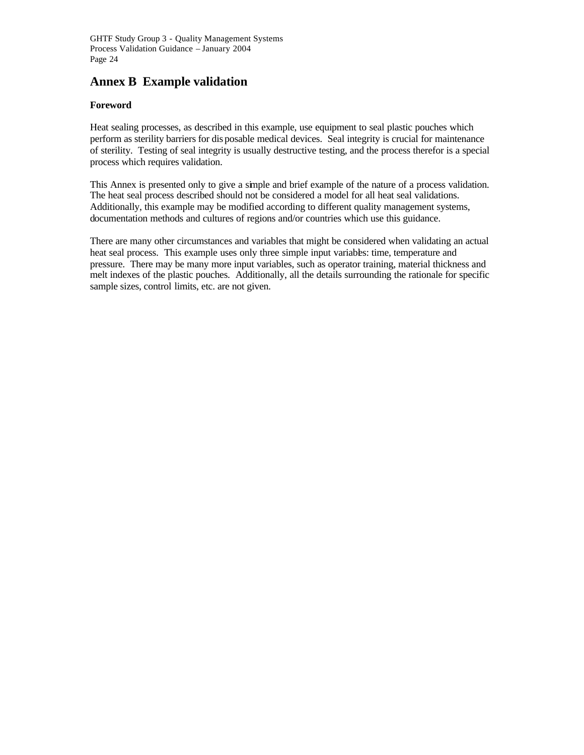### **Annex B Example validation**

### **Foreword**

Heat sealing processes, as described in this example, use equipment to seal plastic pouches which perform as sterility barriers for dis posable medical devices. Seal integrity is crucial for maintenance of sterility. Testing of seal integrity is usually destructive testing, and the process therefor is a special process which requires validation.

This Annex is presented only to give a simple and brief example of the nature of a process validation. The heat seal process described should not be considered a model for all heat seal validations. Additionally, this example may be modified according to different quality management systems, documentation methods and cultures of regions and/or countries which use this guidance.

There are many other circumstances and variables that might be considered when validating an actual heat seal process. This example uses only three simple input variables: time, temperature and pressure. There may be many more input variables, such as operator training, material thickness and melt indexes of the plastic pouches. Additionally, all the details surrounding the rationale for specific sample sizes, control limits, etc. are not given.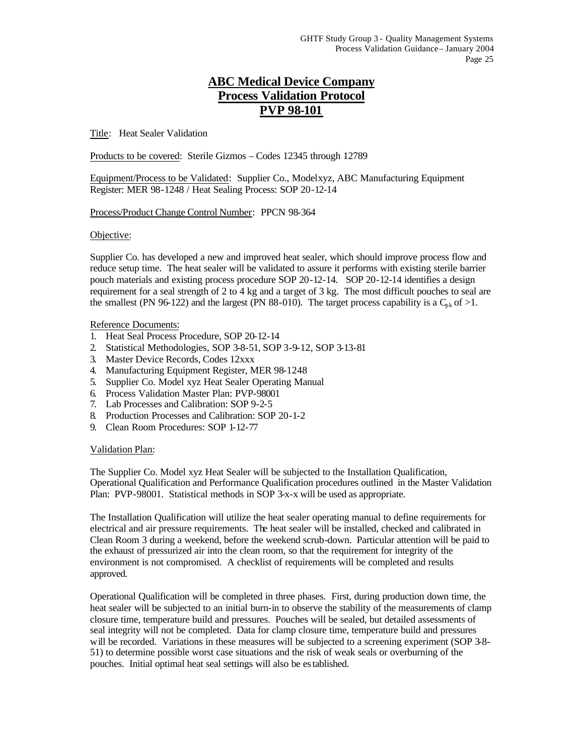### **ABC Medical Device Company Process Validation Protocol PVP 98-101**

Title: Heat Sealer Validation

Products to be covered: Sterile Gizmos – Codes 12345 through 12789

Equipment/Process to be Validated: Supplier Co., Modelxyz, ABC Manufacturing Equipment Register: MER 98-1248 / Heat Sealing Process: SOP 20-12-14

Process/Product Change Control Number: PPCN 98-364

#### Objective:

Supplier Co. has developed a new and improved heat sealer, which should improve process flow and reduce setup time. The heat sealer will be validated to assure it performs with existing sterile barrier pouch materials and existing process procedure SOP 20-12-14. SOP 20-12-14 identifies a design requirement for a seal strength of 2 to 4 kg and a target of 3 kg. The most difficult pouches to seal are the smallest (PN 96-122) and the largest (PN 88-010). The target process capability is a  $C_{\rm pk}$  of >1.

Reference Documents:

- 1. Heat Seal Process Procedure, SOP 20-12-14
- 2. Statistical Methodologies, SOP 3-8-51, SOP 3-9-12, SOP 3-13-81
- 3. Master Device Records, Codes 12xxx
- 4. Manufacturing Equipment Register, MER 98-1248
- 5. Supplier Co. Model xyz Heat Sealer Operating Manual
- 6. Process Validation Master Plan: PVP-98001
- 7. Lab Processes and Calibration: SOP 9-2-5
- 8. Production Processes and Calibration: SOP 20-1-2
- 9. Clean Room Procedures: SOP 1-12-77

#### Validation Plan:

The Supplier Co. Model xyz Heat Sealer will be subjected to the Installation Qualification, Operational Qualification and Performance Qualification procedures outlined in the Master Validation Plan: PVP-98001. Statistical methods in SOP 3-x-x will be used as appropriate.

The Installation Qualification will utilize the heat sealer operating manual to define requirements for electrical and air pressure requirements. The heat sealer will be installed, checked and calibrated in Clean Room 3 during a weekend, before the weekend scrub-down. Particular attention will be paid to the exhaust of pressurized air into the clean room, so that the requirement for integrity of the environment is not compromised. A checklist of requirements will be completed and results approved.

Operational Qualification will be completed in three phases. First, during production down time, the heat sealer will be subjected to an initial burn-in to observe the stability of the measurements of clamp closure time, temperature build and pressures. Pouches will be sealed, but detailed assessments of seal integrity will not be completed. Data for clamp closure time, temperature build and pressures will be recorded. Variations in these measures will be subjected to a screening experiment (SOP 3-8-51) to determine possible worst case situations and the risk of weak seals or overburning of the pouches. Initial optimal heat seal settings will also be established.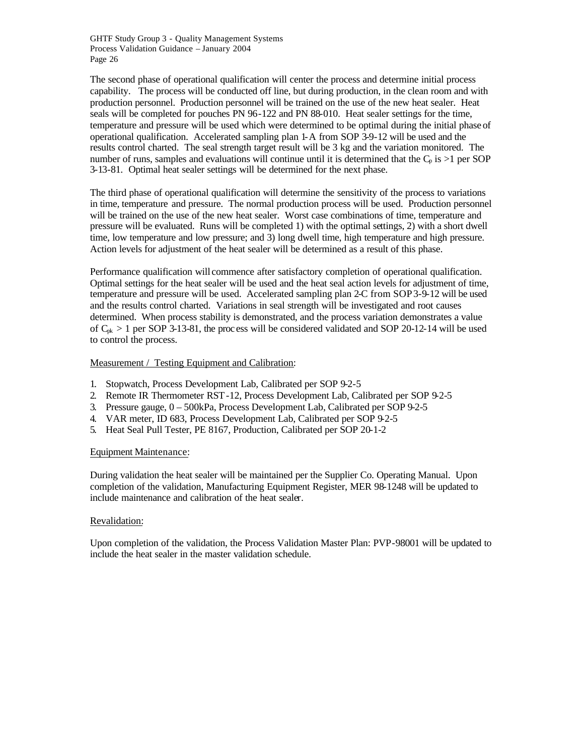GHTF Study Group 3 - Quality Management Systems Process Validation Guidance – January 2004 Page 26

The second phase of operational qualification will center the process and determine initial process capability. The process will be conducted off line, but during production, in the clean room and with production personnel. Production personnel will be trained on the use of the new heat sealer. Heat seals will be completed for pouches PN 96-122 and PN 88-010. Heat sealer settings for the time, temperature and pressure will be used which were determined to be optimal during the initial phase of operational qualification. Accelerated sampling plan 1-A from SOP 3-9-12 will be used and the results control charted. The seal strength target result will be 3 kg and the variation monitored. The number of runs, samples and evaluations will continue until it is determined that the  $C_p$  is  $>1$  per SOP 3-13-81. Optimal heat sealer settings will be determined for the next phase.

The third phase of operational qualification will determine the sensitivity of the process to variations in time, temperature and pressure. The normal production process will be used. Production personnel will be trained on the use of the new heat sealer. Worst case combinations of time, temperature and pressure will be evaluated. Runs will be completed 1) with the optimal settings, 2) with a short dwell time, low temperature and low pressure; and 3) long dwell time, high temperature and high pressure. Action levels for adjustment of the heat sealer will be determined as a result of this phase.

Performance qualification will commence after satisfactory completion of operational qualification. Optimal settings for the heat sealer will be used and the heat seal action levels for adjustment of time, temperature and pressure will be used. Accelerated sampling plan 2-C from SOP 3-9-12 will be used and the results control charted. Variations in seal strength will be investigated and root causes determined. When process stability is demonstrated, and the process variation demonstrates a value of  $C_{\text{rk}} > 1$  per SOP 3-13-81, the process will be considered validated and SOP 20-12-14 will be used to control the process.

### Measurement / Testing Equipment and Calibration:

- 1. Stopwatch, Process Development Lab, Calibrated per SOP 9-2-5
- 2. Remote IR Thermometer RST-12, Process Development Lab, Calibrated per SOP 9-2-5
- 3. Pressure gauge, 0 500kPa, Process Development Lab, Calibrated per SOP 9-2-5
- 4. VAR meter, ID 683, Process Development Lab, Calibrated per SOP 9-2-5
- 5. Heat Seal Pull Tester, PE 8167, Production, Calibrated per SOP 20-1-2

### Equipment Maintenance:

During validation the heat sealer will be maintained per the Supplier Co. Operating Manual. Upon completion of the validation, Manufacturing Equipment Register, MER 98-1248 will be updated to include maintenance and calibration of the heat sealer.

### Revalidation:

Upon completion of the validation, the Process Validation Master Plan: PVP-98001 will be updated to include the heat sealer in the master validation schedule.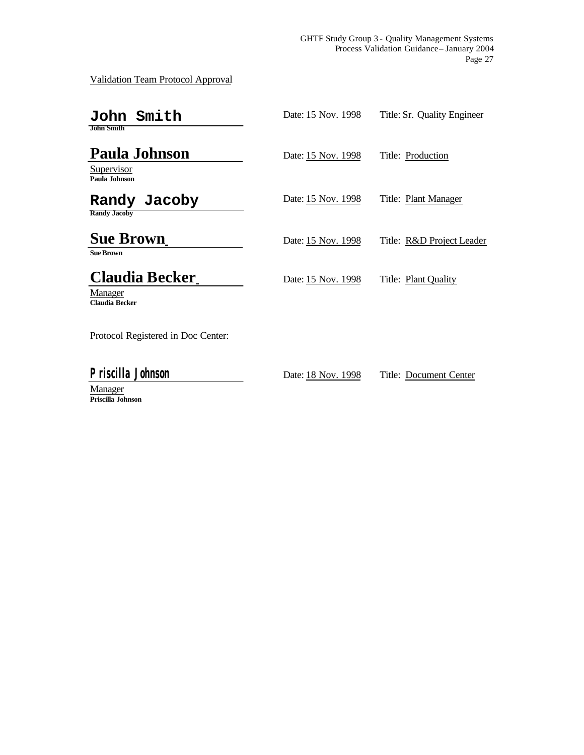Validation Team Protocol Approval

| John Smith<br><b>John Smith</b>                           | Date: 15 Nov. 1998 | Title: Sr. Quality Engineer |
|-----------------------------------------------------------|--------------------|-----------------------------|
| <b>Paula Johnson</b><br><b>Supervisor</b>                 | Date: 15 Nov. 1998 | Title: Production           |
| Paula Johnson<br>Randy Jacoby<br><b>Randy Jacoby</b>      | Date: 15 Nov. 1998 | Title: Plant Manager        |
| <b>Sue Brown</b><br><b>Sue Brown</b>                      | Date: 15 Nov. 1998 | Title: R&D Project Leader   |
| <b>Claudia Becker</b><br>Manager<br><b>Claudia Becker</b> | Date: 15 Nov. 1998 | Title: Plant Quality        |
| Protocol Registered in Doc Center:                        |                    |                             |
| Priscilla Johnson<br>Manager<br>Priscilla Johnson         | Date: 18 Nov. 1998 | Title: Document Center      |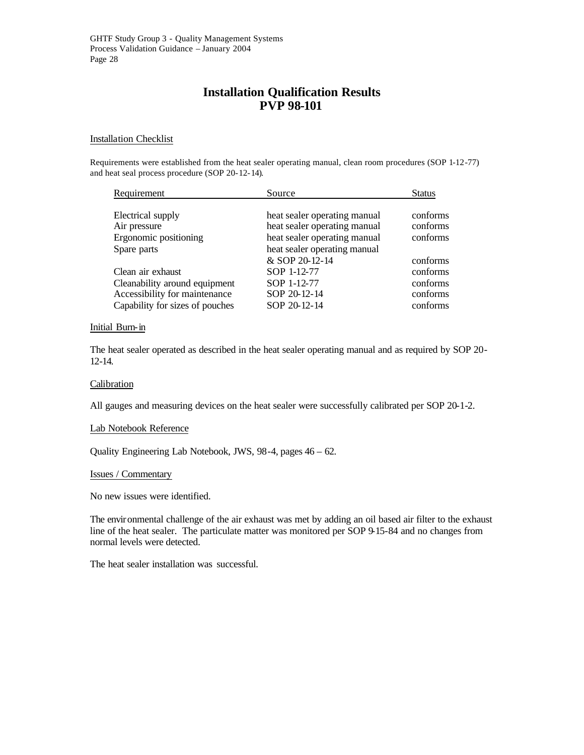GHTF Study Group 3 - Quality Management Systems Process Validation Guidance – January 2004 Page 28

### **Installation Qualification Results PVP 98-101**

#### Installation Checklist

Requirements were established from the heat sealer operating manual, clean room procedures (SOP 1-12-77) and heat seal process procedure (SOP 20-12-14).

| Requirement                     | Source                       | <b>Status</b> |
|---------------------------------|------------------------------|---------------|
| Electrical supply               | heat sealer operating manual | conforms      |
| Air pressure                    | heat sealer operating manual | conforms      |
| Ergonomic positioning           | heat sealer operating manual | conforms      |
| Spare parts                     | heat sealer operating manual |               |
|                                 | & SOP 20-12-14               | conforms      |
| Clean air exhaust               | SOP 1-12-77                  | conforms      |
| Cleanability around equipment   | SOP 1-12-77                  | conforms      |
| Accessibility for maintenance   | SOP 20-12-14                 | conforms      |
| Capability for sizes of pouches | SOP 20-12-14                 | conforms      |

#### Initial Burn-in

The heat sealer operated as described in the heat sealer operating manual and as required by SOP 20- 12-14.

#### Calibration

All gauges and measuring devices on the heat sealer were successfully calibrated per SOP 20-1-2.

#### Lab Notebook Reference

Quality Engineering Lab Notebook, JWS, 98-4, pages 46 – 62.

Issues / Commentary

No new issues were identified.

The environmental challenge of the air exhaust was met by adding an oil based air filter to the exhaust line of the heat sealer. The particulate matter was monitored per SOP 9-15-84 and no changes from normal levels were detected.

The heat sealer installation was successful.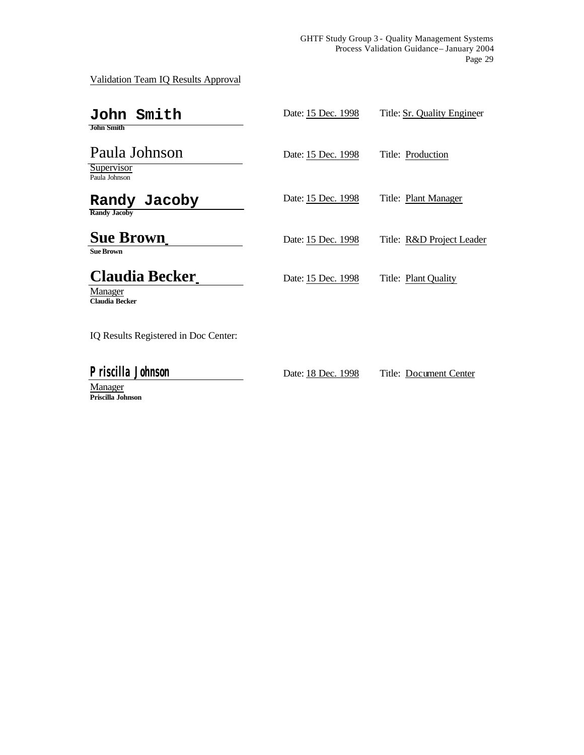Validation Team IQ Results Approval

| John Smith<br>John Smith                                  | Date: 15 Dec. 1998 | Title: Sr. Quality Engineer |
|-----------------------------------------------------------|--------------------|-----------------------------|
| Paula Johnson<br>Supervisor                               | Date: 15 Dec. 1998 | Title: Production           |
| Paula Johnson<br>Randy Jacoby<br><b>Randy Jacoby</b>      | Date: 15 Dec. 1998 | Title: Plant Manager        |
| <b>Sue Brown</b><br><b>Sue Brown</b>                      | Date: 15 Dec. 1998 | Title: R&D Project Leader   |
| <b>Claudia Becker</b><br>Manager<br><b>Claudia Becker</b> | Date: 15 Dec. 1998 | Title: Plant Quality        |
| IQ Results Registered in Doc Center:                      |                    |                             |
| Priscilla Johnson<br>Manager<br>Priscilla Johnson         | Date: 18 Dec. 1998 | Title: Document Center      |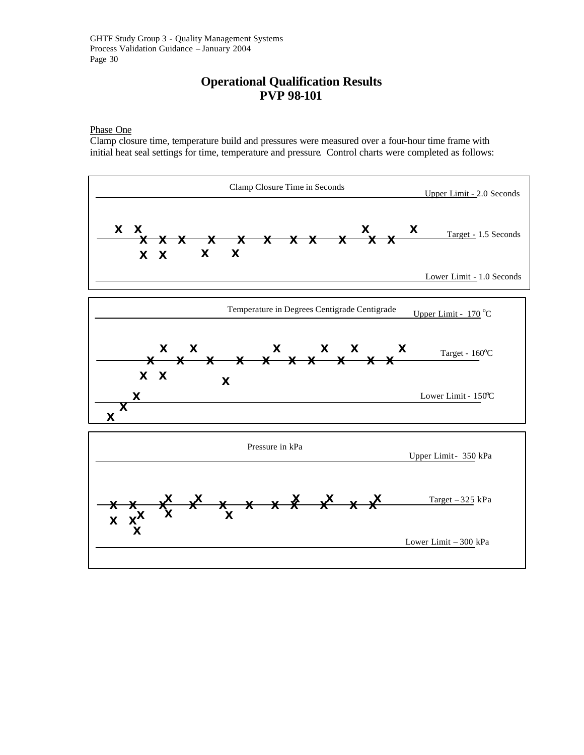## **Operational Qualification Results PVP 98-101**

Phase One

Clamp closure time, temperature build and pressures were measured over a four-hour time frame with initial heat seal settings for time, temperature and pressure. Control charts were completed as follows:

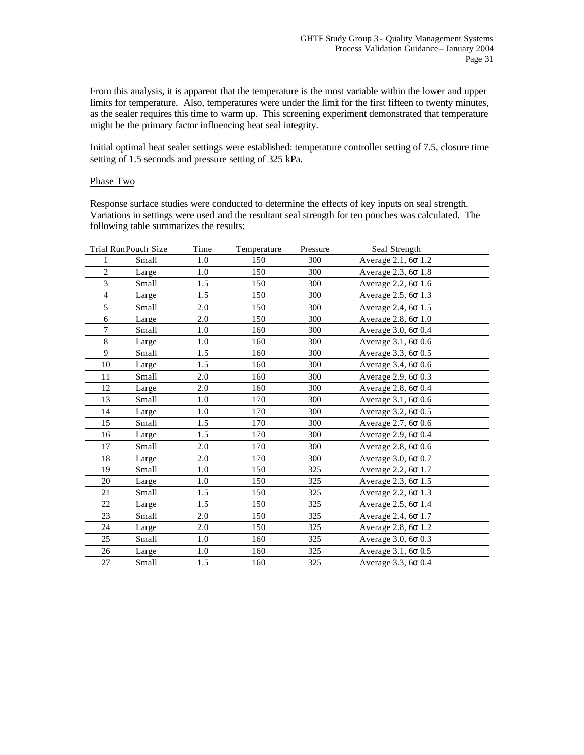From this analysis, it is apparent that the temperature is the most variable within the lower and upper limits for temperature. Also, temperatures were under the limit for the first fifteen to twenty minutes, as the sealer requires this time to warm up. This screening experiment demonstrated that temperature might be the primary factor influencing heat seal integrity.

Initial optimal heat sealer settings were established: temperature controller setting of 7.5, closure time setting of 1.5 seconds and pressure setting of 325 kPa.

### Phase Two

Response surface studies were conducted to determine the effects of key inputs on seal strength. Variations in settings were used and the resultant seal strength for ten pouches was calculated. The following table summarizes the results:

|                | Trial Run Pouch Size | Time    | Temperature | Pressure | Seal Strength              |
|----------------|----------------------|---------|-------------|----------|----------------------------|
| 1              | Small                | 1.0     | 150         | 300      | Average 2.1, 60 1.2        |
| $\overline{2}$ | Large                | 1.0     | 150         | 300      | Average 2.3, 60 1.8        |
| 3              | Small                | 1.5     | 150         | 300      | Average 2.2, $6\sigma$ 1.6 |
| $\overline{4}$ | Large                | 1.5     | 150         | 300      | Average 2.5, 60 1.3        |
| 5              | Small                | 2.0     | 150         | 300      | Average 2.4, $6\sigma$ 1.5 |
| 6              | Large                | 2.0     | 150         | 300      | Average 2.8, $6\sigma$ 1.0 |
| $\tau$         | Small                | 1.0     | 160         | 300      | Average 3.0, $6\sigma$ 0.4 |
| 8              | Large                | 1.0     | 160         | 300      | Average 3.1, 6σ 0.6        |
| 9              | Small                | 1.5     | 160         | 300      | Average 3.3, $6\sigma$ 0.5 |
| 10             | Large                | 1.5     | 160         | 300      | Average 3.4, 60 0.6        |
| 11             | Small                | 2.0     | 160         | 300      | Average 2.9, 60 0.3        |
| 12             | Large                | 2.0     | 160         | 300      | Average 2.8, $6\sigma$ 0.4 |
| 13             | Small                | 1.0     | 170         | 300      | Average 3.1, 60 0.6        |
| 14             | Large                | 1.0     | 170         | 300      | Average 3.2, 60 0.5        |
| 15             | Small                | 1.5     | 170         | 300      | Average $2.7, 6\sigma$ 0.6 |
| 16             | Large                | 1.5     | 170         | 300      | Average 2.9, 6σ 0.4        |
| 17             | Small                | 2.0     | 170         | 300      | Average 2.8, $6\sigma$ 0.6 |
| 18             | Large                | 2.0     | 170         | 300      | Average 3.0, 60 0.7        |
| 19             | Small                | 1.0     | 150         | 325      | Average 2.2, 60 1.7        |
| 20             | Large                | 1.0     | 150         | 325      | Average 2.3, 60 1.5        |
| 21             | Small                | 1.5     | 150         | 325      | Average 2.2, $6\sigma$ 1.3 |
| 22             | Large                | 1.5     | 150         | 325      | Average 2.5, 60 1.4        |
| 23             | Small                | 2.0     | 150         | 325      | Average 2.4, 60 1.7        |
| 24             | Large                | 2.0     | 150         | 325      | Average 2.8, $6\sigma$ 1.2 |
| 25             | Small                | $1.0\,$ | 160         | 325      | Average 3.0, 60 0.3        |
| 26             | Large                | 1.0     | 160         | 325      | Average 3.1, 60 0.5        |
| 27             | Small                | 1.5     | 160         | 325      | Average 3.3, $6\sigma$ 0.4 |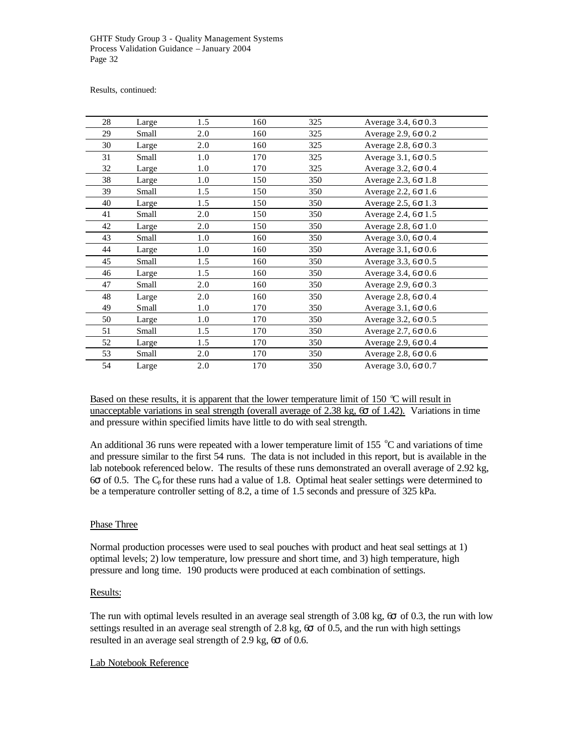Results, continued:

| 28 | Large | 1.5     | 160 | 325 | Average 3.4, $6\sigma$ 0.3 |
|----|-------|---------|-----|-----|----------------------------|
| 29 | Small | 2.0     | 160 | 325 | Average 2.9, $6\sigma$ 0.2 |
| 30 | Large | 2.0     | 160 | 325 | Average 2.8, $6\sigma$ 0.3 |
| 31 | Small | 1.0     | 170 | 325 | Average 3.1, $6\sigma$ 0.5 |
| 32 | Large | $1.0\,$ | 170 | 325 | Average 3.2, $6\sigma$ 0.4 |
| 38 | Large | $1.0\,$ | 150 | 350 | Average 2.3, $6\sigma$ 1.8 |
| 39 | Small | 1.5     | 150 | 350 | Average 2.2, 6σ 1.6        |
| 40 | Large | 1.5     | 150 | 350 | Average 2.5, $6\sigma$ 1.3 |
| 41 | Small | 2.0     | 150 | 350 | Average 2.4, 6σ1.5         |
| 42 | Large | 2.0     | 150 | 350 | Average 2.8, 6σ1.0         |
| 43 | Small | 1.0     | 160 | 350 | Average 3.0, $6\sigma$ 0.4 |
| 44 | Large | 1.0     | 160 | 350 | Average 3.1, $6\sigma$ 0.6 |
| 45 | Small | 1.5     | 160 | 350 | Average 3.3, $6\sigma$ 0.5 |
| 46 | Large | 1.5     | 160 | 350 | Average 3.4, $6\sigma$ 0.6 |
| 47 | Small | $2.0\,$ | 160 | 350 | Average 2.9, $6\sigma$ 0.3 |
| 48 | Large | 2.0     | 160 | 350 | Average 2.8, 6σ0.4         |
| 49 | Small | 1.0     | 170 | 350 | Average 3.1, $6\sigma$ 0.6 |
| 50 | Large | 1.0     | 170 | 350 | Average 3.2, $6\sigma$ 0.5 |
| 51 | Small | 1.5     | 170 | 350 | Average 2.7, $6\sigma$ 0.6 |
| 52 | Large | 1.5     | 170 | 350 | Average 2.9, 6σ0.4         |
| 53 | Small | 2.0     | 170 | 350 | Average 2.8, 6σ0.6         |
| 54 | Large | 2.0     | 170 | 350 | Average 3.0, $6\sigma$ 0.7 |

Based on these results, it is apparent that the lower temperature limit of 150  $\degree$ C will result in unacceptable variations in seal strength (overall average of 2.38 kg,  $6\sigma$  of 1.42). Variations in time and pressure within specified limits have little to do with seal strength.

An additional 36 runs were repeated with a lower temperature limit of  $155^{\circ}$ C and variations of time and pressure similar to the first 54 runs. The data is not included in this report, but is available in the lab notebook referenced below. The results of these runs demonstrated an overall average of 2.92 kg, 6 $\sigma$  of 0.5. The C<sub>p</sub> for these runs had a value of 1.8. Optimal heat sealer settings were determined to be a temperature controller setting of 8.2, a time of 1.5 seconds and pressure of 325 kPa.

### Phase Three

Normal production processes were used to seal pouches with product and heat seal settings at 1) optimal levels; 2) low temperature, low pressure and short time, and 3) high temperature, high pressure and long time. 190 products were produced at each combination of settings.

### Results:

The run with optimal levels resulted in an average seal strength of 3.08 kg,  $6\sigma$  of 0.3, the run with low settings resulted in an average seal strength of 2.8 kg,  $6\sigma$  of 0.5, and the run with high settings resulted in an average seal strength of 2.9 kg,  $\omega$  of 0.6.

### Lab Notebook Reference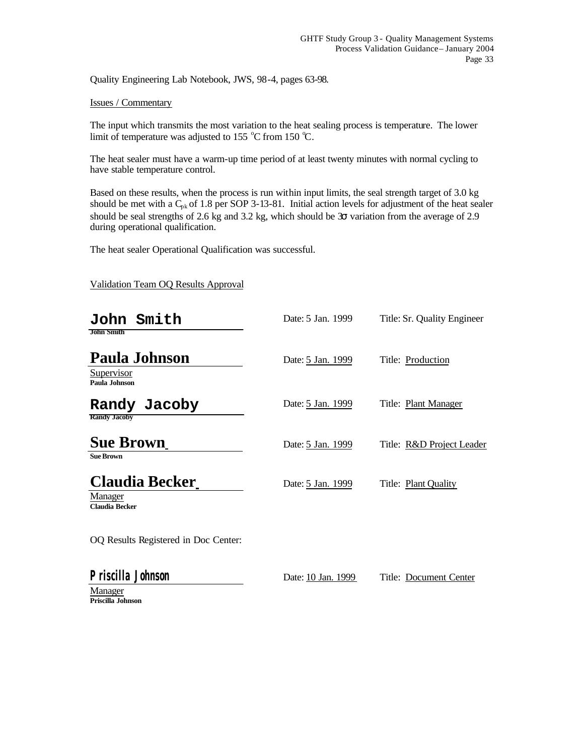Quality Engineering Lab Notebook, JWS, 98-4, pages 63-98.

#### Issues / Commentary

The input which transmits the most variation to the heat sealing process is temperature. The lower limit of temperature was adjusted to 155  $\degree$ C from 150  $\degree$ C.

The heat sealer must have a warm-up time period of at least twenty minutes with normal cycling to have stable temperature control.

Based on these results, when the process is run within input limits, the seal strength target of 3.0 kg should be met with a  $C_{pk}$  of 1.8 per SOP 3-13-81. Initial action levels for adjustment of the heat sealer should be seal strengths of 2.6 kg and 3.2 kg, which should be 3σ variation from the average of 2.9 during operational qualification.

The heat sealer Operational Qualification was successful.

### Validation Team OQ Results Approval

| John Smith<br><b>John Smith</b>                     | Date: 5 Jan. 1999 | Title: Sr. Quality Engineer |
|-----------------------------------------------------|-------------------|-----------------------------|
| <b>Paula Johnson</b><br>Supervisor<br>Paula Johnson | Date: 5 Jan. 1999 | Title: Production           |
| Randy Jacoby<br><b>Randy Jacoby</b>                 | Date: 5 Jan. 1999 | Title: Plant Manager        |
| <b>Sue Brown</b><br><b>Sue Brown</b>                | Date: 5 Jan. 1999 | Title: R&D Project Leader   |
| <b>Claudia Becker</b><br>Manager<br>Claudia Becker  | Date: 5 Jan. 1999 | Title: Plant Quality        |

OQ Results Registered in Doc Center:

**Priscilla Johnson** Date: <u>10 Jan. 1999</u> Title: Document Center

Manager **Priscilla Johnson**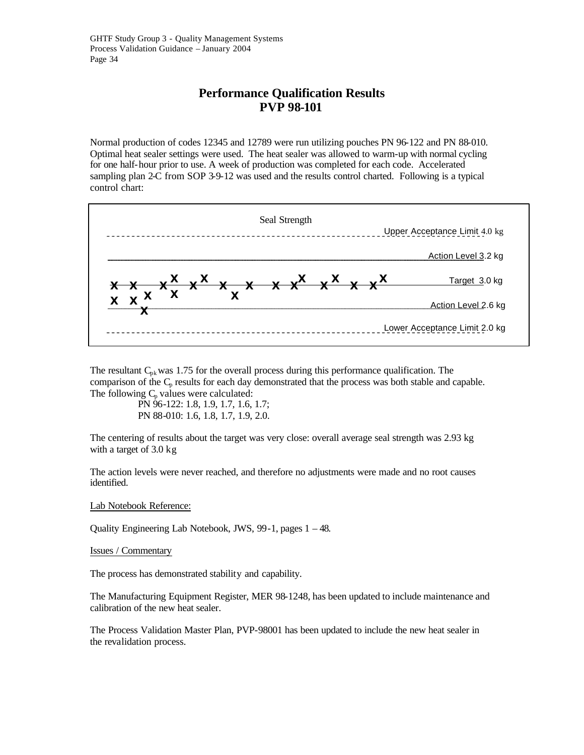### **Performance Qualification Results PVP 98-101**

Normal production of codes 12345 and 12789 were run utilizing pouches PN 96-122 and PN 88-010. Optimal heat sealer settings were used. The heat sealer was allowed to warm-up with normal cycling for one half-hour prior to use. A week of production was completed for each code. Accelerated sampling plan 2-C from SOP 3-9-12 was used and the results control charted. Following is a typical control chart:



The resultant  $C_{\rm pk}$  was 1.75 for the overall process during this performance qualification. The comparison of the  $C_p$  results for each day demonstrated that the process was both stable and capable. The following  $C_p$  values were calculated:

PN 96-122: 1.8, 1.9, 1.7, 1.6, 1.7; PN 88-010: 1.6, 1.8, 1.7, 1.9, 2.0.

The centering of results about the target was very close: overall average seal strength was 2.93 kg with a target of 3.0 kg

The action levels were never reached, and therefore no adjustments were made and no root causes identified.

Lab Notebook Reference:

Quality Engineering Lab Notebook, JWS, 99-1, pages 1 – 48.

Issues / Commentary

The process has demonstrated stability and capability.

The Manufacturing Equipment Register, MER 98-1248, has been updated to include maintenance and calibration of the new heat sealer.

The Process Validation Master Plan, PVP-98001 has been updated to include the new heat sealer in the revalidation process.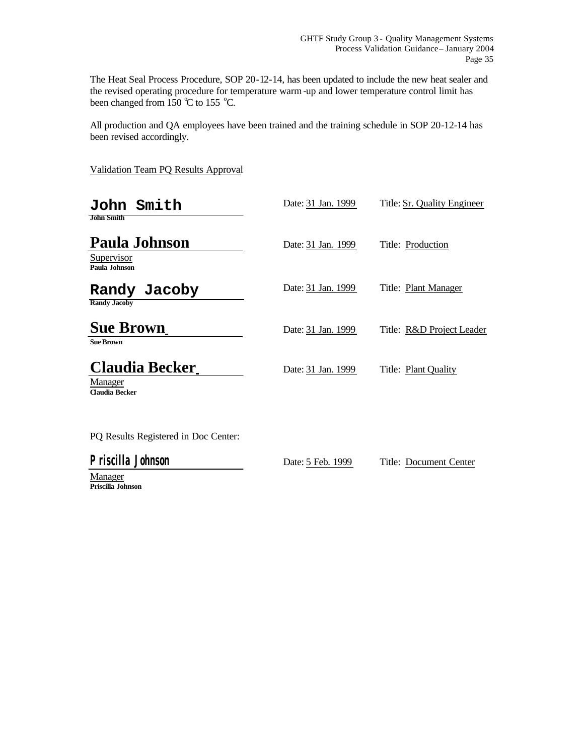The Heat Seal Process Procedure, SOP 20-12-14, has been updated to include the new heat sealer and the revised operating procedure for temperature warm-up and lower temperature control limit has been changed from  $150^{\circ}$ C to  $155^{\circ}$ C.

All production and QA employees have been trained and the training schedule in SOP 20-12-14 has been revised accordingly.

Validation Team PQ Results Approval

| John Smith<br>John Smith                                  | Date: 31 Jan. 1999 | Title: Sr. Quality Engineer |
|-----------------------------------------------------------|--------------------|-----------------------------|
| <b>Paula Johnson</b><br>Supervisor<br>Paula Johnson       | Date: 31 Jan. 1999 | Title: Production           |
| Randy Jacoby<br><b>Randy Jacoby</b>                       | Date: 31 Jan. 1999 | Title: Plant Manager        |
| <b>Sue Brown</b><br><b>Sue Brown</b>                      | Date: 31 Jan. 1999 | Title: R&D Project Leader   |
| <b>Claudia Becker</b><br>Manager<br><b>Claudia Becker</b> | Date: 31 Jan. 1999 | Title: Plant Quality        |

PQ Results Registered in Doc Center:

| Priscilla Johnson            | Date: 5 Feb. 1999 | Title: Document Center |
|------------------------------|-------------------|------------------------|
| Manager<br>Priscilla Johnson |                   |                        |